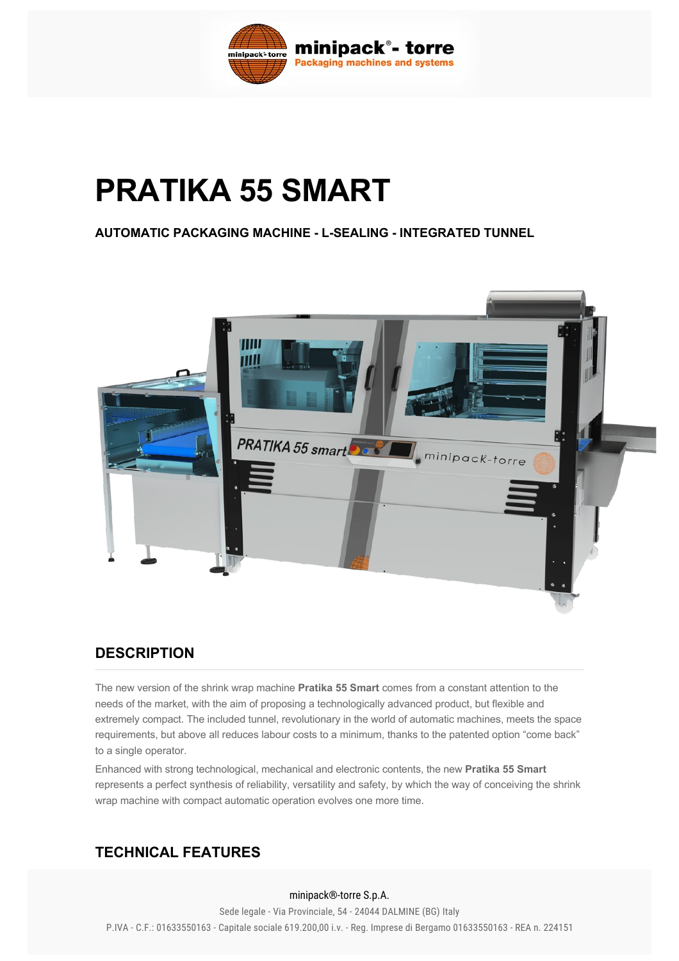

# **PRATIKA 55 SMART**

**AUTOMATIC PACKAGING MACHINE - L-SEALING - INTEGRATED TUNNEL** 



#### **DESCRIPTION**

The new version of the shrink wrap machine **Pratika 55 Smart** comes from a constant attention to the needs of the market, with the aim of proposing a technologically advanced product, but flexible and extremely compact. The included tunnel, revolutionary in the world of automatic machines, meets the space requirements, but above all reduces labour costs to a minimum, thanks to the patented option "come back" to a single operator.

Enhanced with strong technological, mechanical and electronic contents, the new **Pratika 55 Smart** represents a perfect synthesis of reliability, versatility and safety, by which the way of conceiving the shrink wrap machine with compact automatic operation evolves one more time.

## **TECHNICAL FEATURES**

#### minipack®-torre S.p.A.

Sede regale Via Frovinciale, 34 24044 DALMINE (DO) italy<br>P.IVA - C.F.: 01633550163 - Capitale sociale 619.200,00 i.v. - Reg. Imprese di Bergamo 01633550163 - REA n. 224151 Sede legale - Via Provinciale, 54 - 24044 DALMINE (BG) Italy